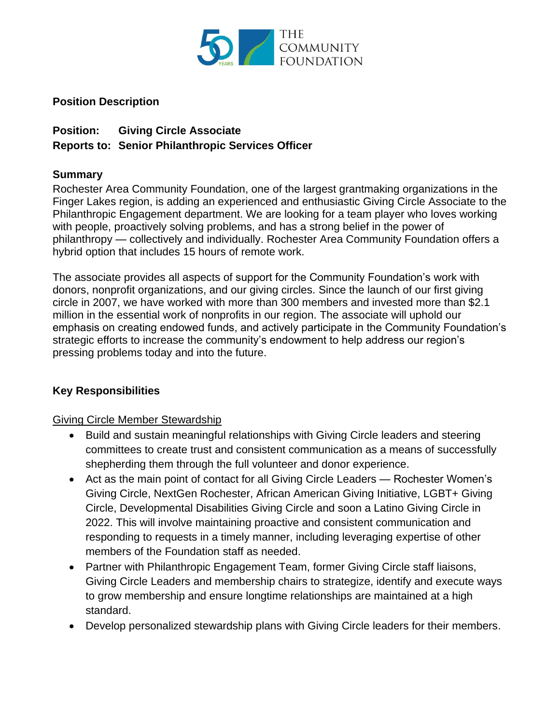

### **Position Description**

# **Position: Giving Circle Associate Reports to: Senior Philanthropic Services Officer**

### **Summary**

Rochester Area Community Foundation, one of the largest grantmaking organizations in the Finger Lakes region, is adding an experienced and enthusiastic Giving Circle Associate to the Philanthropic Engagement department. We are looking for a team player who loves working with people, proactively solving problems, and has a strong belief in the power of philanthropy — collectively and individually. Rochester Area Community Foundation offers a hybrid option that includes 15 hours of remote work.

The associate provides all aspects of support for the Community Foundation's work with donors, nonprofit organizations, and our giving circles. Since the launch of our first giving circle in 2007, we have worked with more than 300 members and invested more than \$2.1 million in the essential work of nonprofits in our region. The associate will uphold our emphasis on creating endowed funds, and actively participate in the Community Foundation's strategic efforts to increase the community's endowment to help address our region's pressing problems today and into the future.

### **Key Responsibilities**

### Giving Circle Member Stewardship

- Build and sustain meaningful relationships with Giving Circle leaders and steering committees to create trust and consistent communication as a means of successfully shepherding them through the full volunteer and donor experience.
- Act as the main point of contact for all Giving Circle Leaders Rochester Women's Giving Circle, NextGen Rochester, African American Giving Initiative, LGBT+ Giving Circle, Developmental Disabilities Giving Circle and soon a Latino Giving Circle in 2022. This will involve maintaining proactive and consistent communication and responding to requests in a timely manner, including leveraging expertise of other members of the Foundation staff as needed.
- Partner with Philanthropic Engagement Team, former Giving Circle staff liaisons, Giving Circle Leaders and membership chairs to strategize, identify and execute ways to grow membership and ensure longtime relationships are maintained at a high standard.
- Develop personalized stewardship plans with Giving Circle leaders for their members.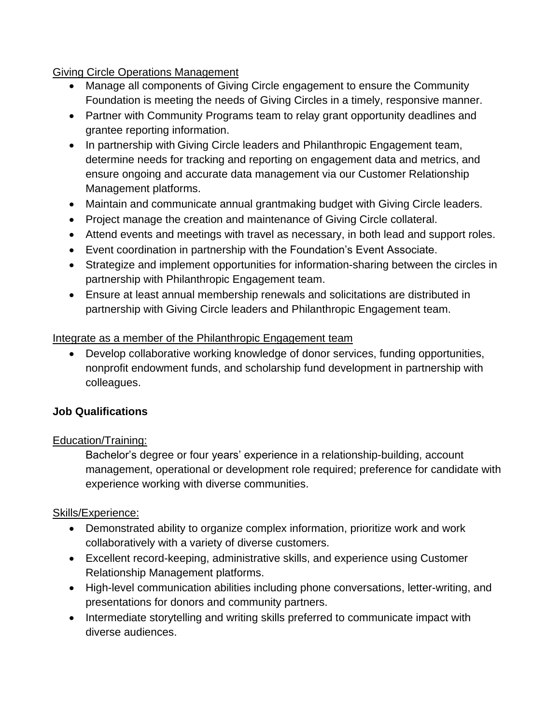### Giving Circle Operations Management

- Manage all components of Giving Circle engagement to ensure the Community Foundation is meeting the needs of Giving Circles in a timely, responsive manner.
- Partner with Community Programs team to relay grant opportunity deadlines and grantee reporting information.
- In partnership with Giving Circle leaders and Philanthropic Engagement team, determine needs for tracking and reporting on engagement data and metrics, and ensure ongoing and accurate data management via our Customer Relationship Management platforms.
- Maintain and communicate annual grantmaking budget with Giving Circle leaders.
- Project manage the creation and maintenance of Giving Circle collateral.
- Attend events and meetings with travel as necessary, in both lead and support roles.
- Event coordination in partnership with the Foundation's Event Associate.
- Strategize and implement opportunities for information-sharing between the circles in partnership with Philanthropic Engagement team.
- Ensure at least annual membership renewals and solicitations are distributed in partnership with Giving Circle leaders and Philanthropic Engagement team.

## Integrate as a member of the Philanthropic Engagement team

• Develop collaborative working knowledge of donor services, funding opportunities, nonprofit endowment funds, and scholarship fund development in partnership with colleagues.

## **Job Qualifications**

### Education/Training:

Bachelor's degree or four years' experience in a relationship-building, account management, operational or development role required; preference for candidate with experience working with diverse communities.

### Skills/Experience:

- Demonstrated ability to organize complex information, prioritize work and work collaboratively with a variety of diverse customers.
- Excellent record-keeping, administrative skills, and experience using Customer Relationship Management platforms.
- High-level communication abilities including phone conversations, letter-writing, and presentations for donors and community partners.
- Intermediate storytelling and writing skills preferred to communicate impact with diverse audiences.